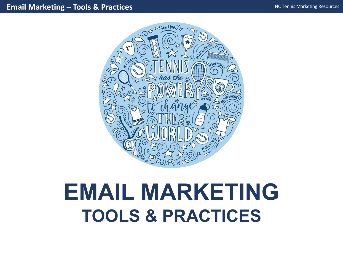

# **EMAIL MARKETING TOOLS & PRACTICES**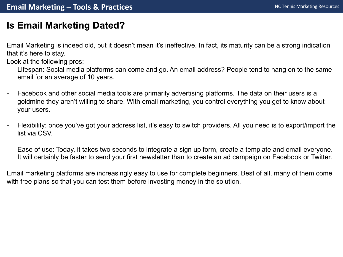# **Is Email Marketing Dated?**

Email Marketing is indeed old, but it doesn't mean it's ineffective. In fact, its maturity can be a strong indication that it's here to stay.

Look at the following pros:

- Lifespan: Social media platforms can come and go. An email address? People tend to hang on to the same email for an average of 10 years.
- Facebook and other social media tools are primarily advertising platforms. The data on their users is a goldmine they aren't willing to share. With email marketing, you control everything you get to know about your users.
- Flexibility: once you've got your address list, it's easy to switch providers. All you need is to export/import the list via CSV.
- Ease of use: Today, it takes two seconds to integrate a sign up form, create a template and email everyone. It will certainly be faster to send your first newsletter than to create an ad campaign on Facebook or Twitter.

Email marketing platforms are increasingly easy to use for complete beginners. Best of all, many of them come with free plans so that you can test them before investing money in the solution.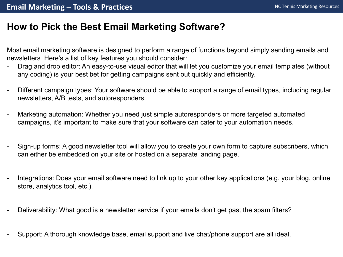# **How to Pick the Best Email Marketing Software?**

Most email marketing software is designed to perform a range of functions beyond simply sending emails and newsletters. Here's a list of key features you should consider:

- Drag and drop editor: An easy-to-use visual editor that will let you customize your email templates (without any coding) is your best bet for getting campaigns sent out quickly and efficiently.
- Different campaign types: Your software should be able to support a range of email types, including regular newsletters, A/B tests, and autoresponders.
- Marketing automation: Whether you need just simple autoresponders or more targeted automated campaigns, it's important to make sure that your software can cater to your automation needs.
- Sign-up forms: A good newsletter tool will allow you to create your own form to capture subscribers, which can either be embedded on your site or hosted on a separate landing page.
- Integrations: Does your email software need to link up to your other key applications (e.g. your blog, online store, analytics tool, etc.).
- Deliverability: What good is a newsletter service if your emails don't get past the spam filters?
- Support: A thorough knowledge base, email support and live chat/phone support are all ideal.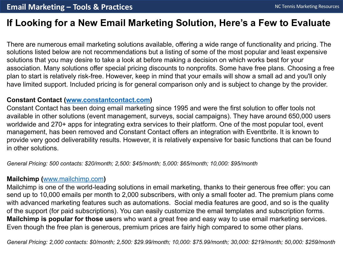# **If Looking for a New Email Marketing Solution, Here's a Few to**

There are numerous email marketing solutions available, offering a wide range of functionality an solutions listed below are not recommendations but a listing of some of the most popular and least solutions th[at you may desire to t](http://www.mailchimp.com/)ake a look at before making a decision on which works best for your that is association. Many solutions offer special pricing discounts to nonprofits. Some have free plans. C plan to start is relatively risk-free. However, keep in mind that your emails will show a small ad an have limited support. Included pricing is for general comparison only and is subject to change by

## **Constant Contact (www.constantcontact.com)**

Constant Contact has been doing email marketing since 1995 and were the first solution to offer t available in other solutions (event management, surveys, social campaigns). They have around 6 worldwide and 270+ apps for integrating extra services to their platform. One of the most popular management, has been removed and Constant Contact offers an integration with Eventbrite. It is provide very good deliverability results. However, it is relatively expensive for basic functions that in other solutions.

*General Pricing: 500 contacts: \$20/month; 2,500: \$45/month; 5,000: \$65/month; 10,000: \$95/month*

## **Mailchimp (**www.mailchimp.com**)**

Mailchimp is one of the world-leading solutions in email marketing, thanks to their generous free of send up to 10,000 emails per month to 2,000 subscribers, with only a small footer ad. The premiu with advanced marketing features such as automations. Social media features are good, and so of the support (for paid subscriptions). You can easily customize the email templates and subscription for the **Mailchimp is popular for those us**ers who want a great free and easy way to use email marketing Even though the free plan is generous, premium prices are fairly high compared to some other plans

*General Pricing: 2,000 contacts: \$0/month; 2,500: \$29.99/month; 10,000: \$75.99/month; 30,000: \$219/month; 50,000: \$259/month*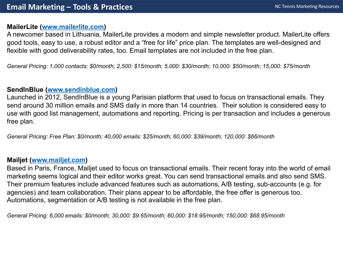#### **MailerLite (www.mailerlite.com)**

A newcomer based in Lithuania, MailerLite provides a modern and simple newsletter product. Ma good to[ols, easy to use, a r](http://www.mailjet.com/)obust editor and a "free for life" price plan. The templates are well-des flexible with good deliverability rates, too. Email templates are not included in the free plan.

*General Pricing: 1,000 contacts: \$0/month; 2,500: \$15/month; 5,000: \$30/month; 10,000: \$50/month; 15,000: \$75/month*

## **SendInBlue (www.sendinblue.com)**

Launched in 2012, SendInBlue is a young Parisian platform that used to focus on transactional en send around 30 million emails and SMS daily in more than 14 countries. Their solution is considered and to the use with good list management, automations and reporting. Pricing is per transaction and include free plan.

*General Pricing: Free Plan: \$0/month; 40,000 emails: \$25/month; 60,000: \$39/month; 120,000: \$66/month*

## **Mailjet (www.mailjet.com)**

Based in Paris, France, Mailjet used to focus on transactional emails. Their recent foray into the v marketing seems logical and their editor works great. You can send transactional emails and also Their premium features include advanced features such as automations, A/B testing, sub-accoun agencies) and team collaboration. Their plans appear to be affordable, the free offer is generous to Automations, segmentation or A/B testing is not available in the free plan.

*General Pricing: 6,000 emails: \$0/month; 30,000: \$9.65/month; 60,000: \$18.95/month; 150,000: \$68.95/month*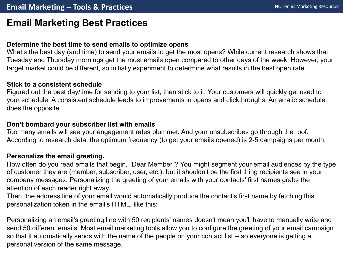## **Email Marketing Best Practices**

#### **Determine the best time to send emails to optimize opens**

What's the best day (and time) to send your emails to get the most opens? While current research shows that Tuesday and Thursday mornings get the most emails open compared to other days of the week. However, your target market could be different, so initially experiment to determine what results in the best open rate.

#### **Stick to a consistent schedule**

Figured out the best day/time for sending to your list, then stick to it. Your customers will quickly get used to your schedule. A consistent schedule leads to improvements in opens and clickthroughs. An erratic schedule does the opposite.

#### **Don't bombard your subscriber list with emails**

Too many emails will see your engagement rates plummet. And your unsubscribes go through the roof. According to research data, the optimum frequency (to get your emails opened) is 2-5 campaigns per month.

#### **Personalize the email greeting.**

How often do you read emails that begin, "Dear Member"? You might segment your email audiences by the type of customer they are (member, subscriber, user, etc.), but it shouldn't be the first thing recipients see in your company messages. Personalizing the greeting of your emails with your contacts' first names grabs the attention of each reader right away.

Then, the address line of your email would automatically produce the contact's first name by fetching this personalization token in the email's HTML, like this:

Personalizing an email's greeting line with 50 recipients' names doesn't mean you'll have to manually write and send 50 different emails. Most email marketing tools allow you to configure the greeting of your email campaign so that it automatically sends with the name of the people on your contact list -- so everyone is getting a personal version of the same message.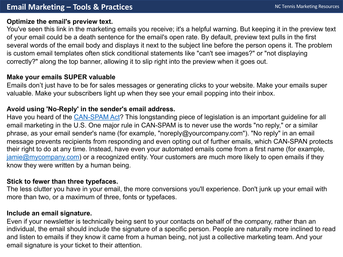## **Optimize the email's preview text.**

You've seen this link in the marketing emails you receive; it's a helpful warning. But keeping it in t [of your email could be a](mailto:jamie@mycompany.com) death sentence for the email's open rate. By default, preview text pulls in several words of the email body and displays it next to the subject line before the person opens it. is custom email templates often stick conditional statements like "can't see images?" or "not displ correctly?" along the top banner, allowing it to slip right into the preview when it goes out.

## **Make your emails SUPER valuable**

Emails don't just have to be for sales messages or generating clicks to your website. Make your  $\epsilon$ valuable. Make your subscribers light up when they see your email popping into their inbox.

## **Avoid using 'No-Reply' in the sender's email address.**

Have you heard of the CAN-SPAM Act? This longstanding piece of legislation is an important guideline for all email marketing in the U.S. One major rule in CAN-SPAM is to never use the words "no reply," or phrase, as your email sender's name (for example, "noreply@yourcompany.com"). "No reply" in a message prevents recipients from responding and even opting out of further emails, which CAN-S their right to do at any time. Instead, have even your automated emails come from a first name (for  $j$ amie $@$ mycompany.com) or a recognized entity. Your customers are much more likely to open en know they were written by a human being.

## **Stick to fewer than three typefaces.**

The less clutter you have in your email, the more conversions you'll experience. Don't junk up you more than two, or a maximum of three, fonts or typefaces.

## **Include an email signature.**

Even if your newsletter is technically being sent to your contacts on behalf of the company, rather individual, the email should include the signature of a specific person. People are naturally more i and listen to emails if they know it came from a human being, not just a collective marketing team email signature is your ticket to their attention.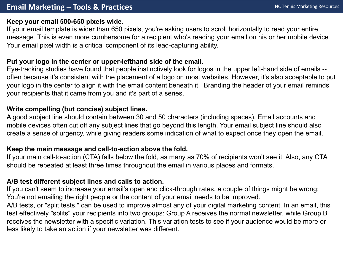#### **Keep your email 500-650 pixels wide.**

If your email template is wider than 650 pixels, you're asking users to scroll horizontally to read your entire message. This is even more cumbersome for a recipient who's reading your email on his or her mobile device. Your email pixel width is a critical component of its lead-capturing ability.

#### **Put your logo in the center or upper-lefthand side of the email.**

Eye-tracking studies have found that people instinctively look for logos in the upper left-hand side of emails - often because it's consistent with the placement of a logo on most websites. However, it's also acceptable to put your logo in the center to align it with the email content beneath it. Branding the header of your email reminds your recipients that it came from you and it's part of a series.

#### **Write compelling (but concise) subject lines.**

A good subject line should contain between 30 and 50 characters (including spaces). Email accounts and mobile devices often cut off any subject lines that go beyond this length. Your email subject line should also create a sense of urgency, while giving readers some indication of what to expect once they open the email.

#### **Keep the main message and call-to-action above the fold.**

If your main call-to-action (CTA) falls below the fold, as many as 70% of recipients won't see it. Also, any CTA should be repeated at least three times throughout the email in various places and formats.

#### **A/B test different subject lines and calls to action.**

If you can't seem to increase your email's open and click-through rates, a couple of things might be wrong: You're not emailing the right people or the content of your email needs to be improved.

A/B tests, or "split tests," can be used to improve almost any of your digital marketing content. In an email, this test effectively "splits" your recipients into two groups: Group A receives the normal newsletter, while Group B receives the newsletter with a specific variation. This variation tests to see if your audience would be more or less likely to take an action if your newsletter was different.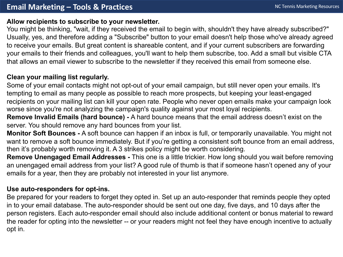#### **Allow recipients to subscribe to your newsletter.**

You might be thinking, "wait, if they received the email to begin with, shouldn't they have already subscribed?" Usually, yes, and therefore adding a "Subscribe" button to your email doesn't help those who've already agreed to receive your emails. But great content is shareable content, and if your current subscribers are forwarding your emails to their friends and colleagues, you'll want to help them subscribe, too. Add a small but visible CTA that allows an email viewer to subscribe to the newsletter if they received this email from someone else.

## **Clean your mailing list regularly.**

Some of your email contacts might not opt-out of your email campaign, but still never open your emails. It's tempting to email as many people as possible to reach more prospects, but keeping your least-engaged recipients on your mailing list can kill your open rate. People who never open emails make your campaign look worse since you're not analyzing the campaign's quality against your most loyal recipients.

**Remove Invalid Emails (hard bounce) -** A hard bounce means that the email address doesn't exist on the server. You should remove any hard bounces from your list.

**Monitor Soft Bounces -** A soft bounce can happen if an inbox is full, or temporarily unavailable. You might not want to remove a soft bounce immediately. But if you're getting a consistent soft bounce from an email address, then it's probably worth removing it. A 3 strikes policy might be worth considering.

**Remove Unengaged Email Addresses -** This one is a little trickier. How long should you wait before removing an unengaged email address from your list? A good rule of thumb is that if someone hasn't opened any of your emails for a year, then they are probably not interested in your list anymore.

#### **Use auto-responders for opt-ins.**

Be prepared for your readers to forget they opted in. Set up an auto-responder that reminds people they opted in to your email database. The auto-responder should be sent out one day, five days, and 10 days after the person registers. Each auto-responder email should also include additional content or bonus material to reward the reader for opting into the newsletter -- or your readers might not feel they have enough incentive to actually opt in.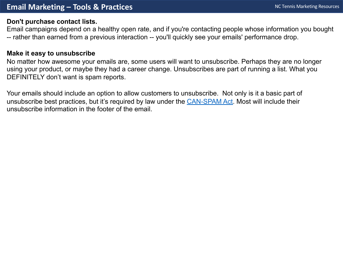#### **Don't purchase contact lists.**

Email campaigns depend on a healthy open rate, and if you're contacting people whose information -- rather than earned from a previous interaction -- you'll quickly see your emails' performance dro

## **Make it easy to unsubscribe**

No matter how awesome your emails are, some users will want to unsubscribe. Perhaps they are using your product, or maybe they had a career change. Unsubscribes are part of running a list. \ DEFINITELY don't want is spam reports.

Your emails should include an option to allow customers to unsubscribe. Not only is it a basic part unsubscribe best practices, but it's required by law under the CAN-SPAM Act. Most will include th unsubscribe information in the footer of the email.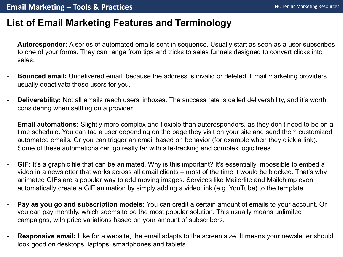# **List of Email Marketing Features and Terminology**

- **Autoresponder:** A series of automated emails sent in sequence. Usually start as soon as a user subscribes to one of your forms. They can range from tips and tricks to sales funnels designed to convert clicks into sales.
- **Bounced email:** Undelivered email, because the address is invalid or deleted. Email marketing providers usually deactivate these users for you.
- **Deliverability:** Not all emails reach users' inboxes. The success rate is called deliverability, and it's worth considering when settling on a provider.
- **Email automations:** Slightly more complex and flexible than autoresponders, as they don't need to be on a time schedule. You can tag a user depending on the page they visit on your site and send them customized automated emails. Or you can trigger an email based on behavior (for example when they click a link). Some of these automations can go really far with site-tracking and complex logic trees.
- **GIF:** It's a graphic file that can be animated. Why is this important? It's essentially impossible to embed a video in a newsletter that works across all email clients – most of the time it would be blocked. That's why animated GIFs are a popular way to add moving images. Services like Mailerlite and Mailchimp even automatically create a GIF animation by simply adding a video link (e.g. YouTube) to the template.
- **Pay as you go and subscription models:** You can credit a certain amount of emails to your account. Or you can pay monthly, which seems to be the most popular solution. This usually means unlimited campaigns, with price variations based on your amount of subscribers.
- **Responsive email:** Like for a website, the email adapts to the screen size. It means your newsletter should look good on desktops, laptops, smartphones and tablets.